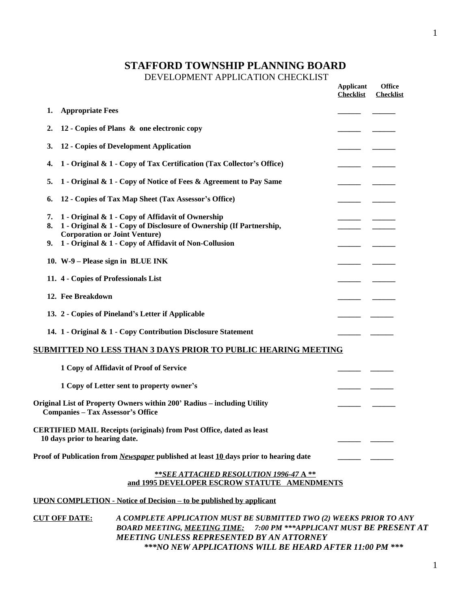# **STAFFORD TOWNSHIP PLANNING BOARD**

#### DEVELOPMENT APPLICATION CHECKLIST

|                |                                                                                                                                                                                                                           | <b>Applicant</b><br><b>Checklist</b> | <b>Office</b><br><b>Checklist</b> |
|----------------|---------------------------------------------------------------------------------------------------------------------------------------------------------------------------------------------------------------------------|--------------------------------------|-----------------------------------|
| 1.             | <b>Appropriate Fees</b>                                                                                                                                                                                                   |                                      |                                   |
| 2.             | 12 - Copies of Plans & one electronic copy                                                                                                                                                                                |                                      |                                   |
| 3.             | 12 - Copies of Development Application                                                                                                                                                                                    |                                      |                                   |
| 4.             | 1 - Original & 1 - Copy of Tax Certification (Tax Collector's Office)                                                                                                                                                     |                                      |                                   |
| 5.             | 1 - Original & 1 - Copy of Notice of Fees & Agreement to Pay Same                                                                                                                                                         |                                      |                                   |
| 6.             | 12 - Copies of Tax Map Sheet (Tax Assessor's Office)                                                                                                                                                                      |                                      |                                   |
| 7.<br>8.<br>9. | 1 - Original & 1 - Copy of Affidavit of Ownership<br>1 - Original & 1 - Copy of Disclosure of Ownership (If Partnership,<br><b>Corporation or Joint Venture)</b><br>1 - Original & 1 - Copy of Affidavit of Non-Collusion |                                      |                                   |
|                | 10. W-9 – Please sign in BLUE INK                                                                                                                                                                                         |                                      |                                   |
|                | 11. 4 - Copies of Professionals List                                                                                                                                                                                      |                                      |                                   |
|                | 12. Fee Breakdown                                                                                                                                                                                                         |                                      |                                   |
|                |                                                                                                                                                                                                                           |                                      |                                   |
|                | 13. 2 - Copies of Pineland's Letter if Applicable                                                                                                                                                                         |                                      |                                   |
|                | 14. 1 - Original & 1 - Copy Contribution Disclosure Statement                                                                                                                                                             |                                      |                                   |
|                | <u>SUBMITTED NO LESS THAN 3 DAYS PRIOR TO PUBLIC HEARING MEETING</u>                                                                                                                                                      |                                      |                                   |
|                | 1 Copy of Affidavit of Proof of Service                                                                                                                                                                                   |                                      |                                   |
|                | 1 Copy of Letter sent to property owner's                                                                                                                                                                                 |                                      |                                   |
|                | Original List of Property Owners within 200' Radius - including Utility<br><b>Companies - Tax Assessor's Office</b>                                                                                                       |                                      |                                   |
|                | <b>CERTIFIED MAIL Receipts (originals) from Post Office, dated as least</b><br>10 days prior to hearing date.                                                                                                             |                                      |                                   |
|                | Proof of Publication from <i>Newspaper</i> published at least 10 days prior to hearing date                                                                                                                               |                                      |                                   |
|                | ** SEE ATTACHED RESOLUTION 1996-47 A**                                                                                                                                                                                    |                                      |                                   |
|                | and 1995 DEVELOPER ESCROW STATUTE AMENDMENTS                                                                                                                                                                              |                                      |                                   |
|                | <b>UPON COMPLETION - Notice of Decision – to be published by applicant</b>                                                                                                                                                |                                      |                                   |
|                | <b>CUT OFF DATE:</b><br>A COMPLETE APPLICATION MUST BE SUBMITTED TWO (2) WEEKS PRIOR TO ANY<br>BOARD MEETING, MEETING TIME: 7:00 PM *** APPLICANT MUST BE PRESENT AT                                                      |                                      |                                   |
|                | <b>MEETING UNLESS REPRESENTED BY AN ATTORNEY</b>                                                                                                                                                                          |                                      |                                   |

*\*\*\*NO NEW APPLICATIONS WILL BE HEARD AFTER 11:00 PM \*\*\**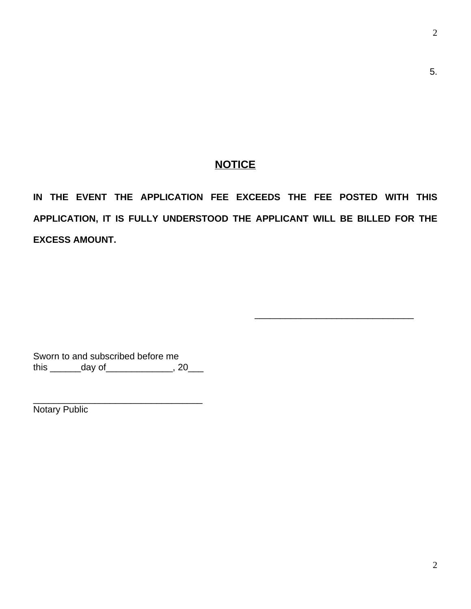5.

## **NOTICE**

**IN THE EVENT THE APPLICATION FEE EXCEEDS THE FEE POSTED WITH THIS APPLICATION, IT IS FULLY UNDERSTOOD THE APPLICANT WILL BE BILLED FOR THE EXCESS AMOUNT.**

\_\_\_\_\_\_\_\_\_\_\_\_\_\_\_\_\_\_\_\_\_\_\_\_\_\_\_\_\_\_\_

Sworn to and subscribed before me this \_\_\_\_\_\_\_\_day of \_\_\_\_\_\_\_\_\_\_\_\_\_\_, 20\_\_\_\_

\_\_\_\_\_\_\_\_\_\_\_\_\_\_\_\_\_\_\_\_\_\_\_\_\_\_\_\_\_\_\_\_\_ Notary Public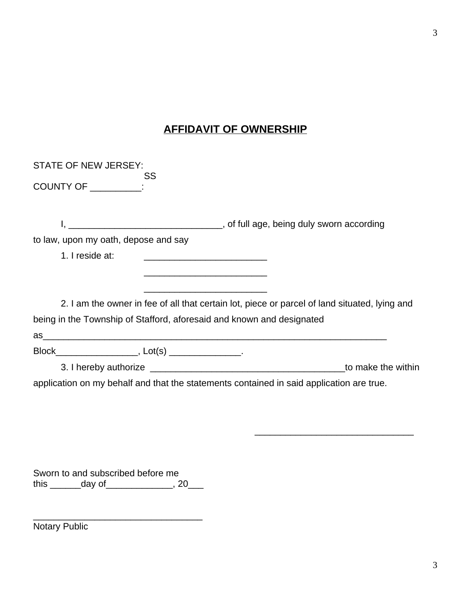# **AFFIDAVIT OF OWNERSHIP**

| STATE OF NEW JERSEY:                                                                                                                    |
|-----------------------------------------------------------------------------------------------------------------------------------------|
| SS<br>COUNTY OF _________:                                                                                                              |
|                                                                                                                                         |
| to law, upon my oath, depose and say                                                                                                    |
| 1. I reside at:<br><u> 1989 - Johann John Harry Harry Harry Harry Harry Harry Harry Harry Harry Harry Harry Harry Harry Harry Harry</u> |
| <u> 1989 - Johann Harry Harry Harry Harry Harry Harry Harry Harry Harry Harry Harry Harry Harry Harry Harry Harry</u>                   |
| 2. I am the owner in fee of all that certain lot, piece or parcel of land situated, lying and                                           |
| being in the Township of Stafford, aforesaid and known and designated                                                                   |
|                                                                                                                                         |
|                                                                                                                                         |
| to make the within                                                                                                                      |
| application on my behalf and that the statements contained in said application are true.                                                |

Sworn to and subscribed before me this  $\frac{1}{\text{day of}}$ , 20

\_\_\_\_\_\_\_\_\_\_\_\_\_\_\_\_\_\_\_\_\_\_\_\_\_\_\_\_\_\_\_\_\_

Notary Public

\_\_\_\_\_\_\_\_\_\_\_\_\_\_\_\_\_\_\_\_\_\_\_\_\_\_\_\_\_\_\_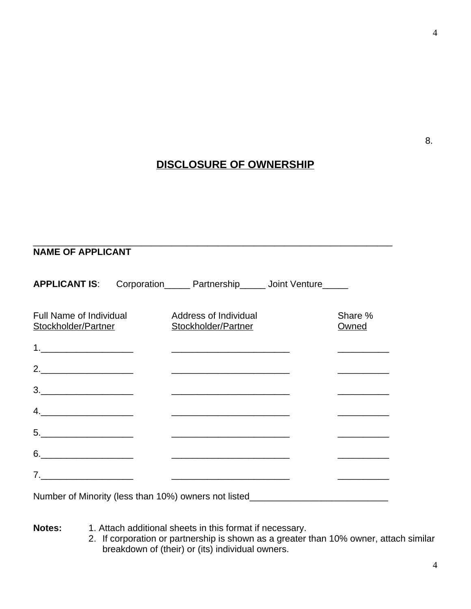# **DISCLOSURE OF OWNERSHIP**

#### \_\_\_\_\_\_\_\_\_\_\_\_\_\_\_\_\_\_\_\_\_\_\_\_\_\_\_\_\_\_\_\_\_\_\_\_\_\_\_\_\_\_\_\_\_\_\_\_\_\_\_\_\_\_\_\_\_\_\_\_\_\_\_\_\_\_\_\_\_\_ **NAME OF APPLICANT**

| <b>APPLICANT IS:</b>                           | Corporation______ Partnership______ Joint Venture_____                                                                                                                                                                                                                                                                                                                            |                  |
|------------------------------------------------|-----------------------------------------------------------------------------------------------------------------------------------------------------------------------------------------------------------------------------------------------------------------------------------------------------------------------------------------------------------------------------------|------------------|
| Full Name of Individual<br>Stockholder/Partner | Address of Individual<br>Stockholder/Partner                                                                                                                                                                                                                                                                                                                                      | Share %<br>Owned |
|                                                |                                                                                                                                                                                                                                                                                                                                                                                   |                  |
| 2.                                             |                                                                                                                                                                                                                                                                                                                                                                                   |                  |
|                                                |                                                                                                                                                                                                                                                                                                                                                                                   |                  |
|                                                | $\begin{picture}(150,10) \put(0,0){\dashbox{0.5}(10,0){ }} \put(150,0){\circle{10}} \put(150,0){\circle{10}} \put(150,0){\circle{10}} \put(150,0){\circle{10}} \put(150,0){\circle{10}} \put(150,0){\circle{10}} \put(150,0){\circle{10}} \put(150,0){\circle{10}} \put(150,0){\circle{10}} \put(150,0){\circle{10}} \put(150,0){\circle{10}} \put(150,0){\circle{10}} \put(150,$ |                  |
|                                                |                                                                                                                                                                                                                                                                                                                                                                                   |                  |
|                                                |                                                                                                                                                                                                                                                                                                                                                                                   |                  |
| 7.                                             | <u> 1990 - Johann Barbara, martin amerikan basar dan berasal dalam basar dalam basar dalam basar dalam basar dala</u>                                                                                                                                                                                                                                                             |                  |
|                                                | Number of Minority (less than 10%) owners not listed____________________________                                                                                                                                                                                                                                                                                                  |                  |

**Notes:** 1. Attach additional sheets in this format if necessary.

2. If corporation or partnership is shown as a greater than 10% owner, attach similar breakdown of (their) or (its) individual owners.

8.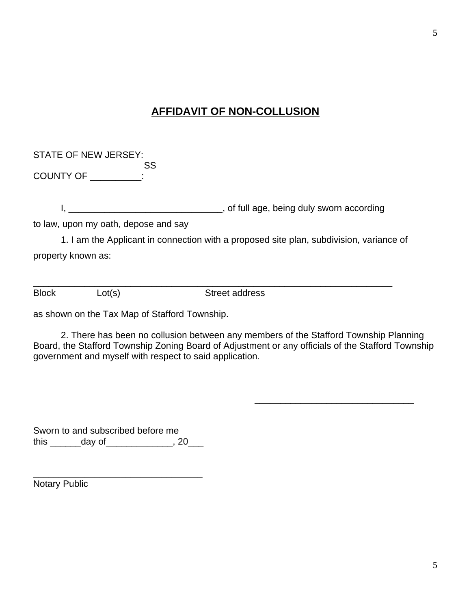## **AFFIDAVIT OF NON-COLLUSION**

| STATE OF NEW JERSEY: |     |
|----------------------|-----|
|                      | SS. |
| <b>COUNTY OF</b>     |     |

I, \_\_\_\_\_\_\_\_\_\_\_\_\_\_\_\_\_\_\_\_\_\_\_\_\_\_\_\_\_\_\_, of full age, being duly sworn according

to law, upon my oath, depose and say

1. I am the Applicant in connection with a proposed site plan, subdivision, variance of property known as:

\_\_\_\_\_\_\_\_\_\_\_\_\_\_\_\_\_\_\_\_\_\_\_\_\_\_\_\_\_\_\_\_\_\_\_\_\_\_\_\_\_\_\_\_\_\_\_\_\_\_\_\_\_\_\_\_\_\_\_\_\_\_\_\_\_\_\_\_\_\_ Block Lot(s) Street address

as shown on the Tax Map of Stafford Township.

2. There has been no collusion between any members of the Stafford Township Planning Board, the Stafford Township Zoning Board of Adjustment or any officials of the Stafford Township government and myself with respect to said application.

\_\_\_\_\_\_\_\_\_\_\_\_\_\_\_\_\_\_\_\_\_\_\_\_\_\_\_\_\_\_\_

Sworn to and subscribed before me this \_\_\_\_\_\_\_\_ day of\_\_\_\_\_\_\_\_\_\_\_\_\_\_, 20\_\_\_\_

\_\_\_\_\_\_\_\_\_\_\_\_\_\_\_\_\_\_\_\_\_\_\_\_\_\_\_\_\_\_\_\_\_ Notary Public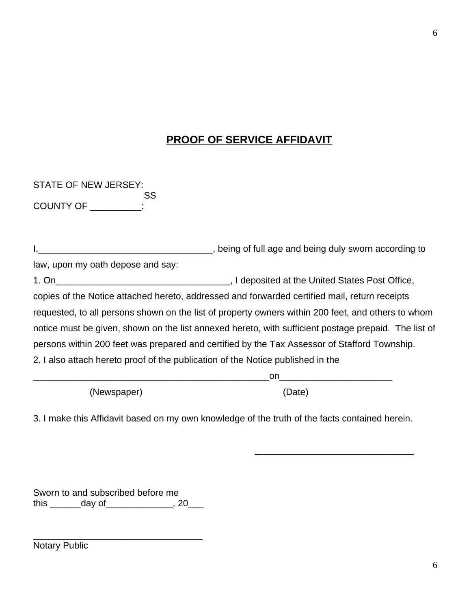## **PROOF OF SERVICE AFFIDAVIT**

STATE OF NEW JERSEY: SS COUNTY OF \_\_\_\_\_\_\_\_\_\_:

|                                                                                 | , being of full age and being duly sworn according to                                                |
|---------------------------------------------------------------------------------|------------------------------------------------------------------------------------------------------|
| law, upon my oath depose and say:                                               |                                                                                                      |
| $1.$ On                                                                         | ., I deposited at the United States Post Office,                                                     |
|                                                                                 | copies of the Notice attached hereto, addressed and forwarded certified mail, return receipts        |
|                                                                                 | requested, to all persons shown on the list of property owners within 200 feet, and others to whom   |
|                                                                                 | notice must be given, shown on the list annexed hereto, with sufficient postage prepaid. The list of |
|                                                                                 | persons within 200 feet was prepared and certified by the Tax Assessor of Stafford Township.         |
| 2. I also attach hereto proof of the publication of the Notice published in the |                                                                                                      |
|                                                                                 | on.                                                                                                  |

(Newspaper) (Date)

\_\_\_\_\_\_\_\_\_\_\_\_\_\_\_\_\_\_\_\_\_\_\_\_\_\_\_\_\_\_\_

3. I make this Affidavit based on my own knowledge of the truth of the facts contained herein.

Sworn to and subscribed before me this \_\_\_\_\_\_\_\_day of \_\_\_\_\_\_\_\_\_\_\_\_\_\_, 20\_\_\_\_

\_\_\_\_\_\_\_\_\_\_\_\_\_\_\_\_\_\_\_\_\_\_\_\_\_\_\_\_\_\_\_\_\_

Notary Public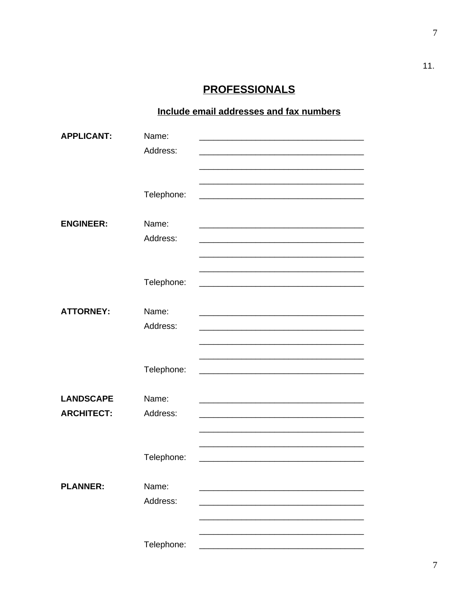# **PROFESSIONALS**

## Include email addresses and fax numbers

| <b>APPLICANT:</b> | Name:      |  |
|-------------------|------------|--|
|                   | Address:   |  |
|                   |            |  |
|                   |            |  |
|                   | Telephone: |  |
|                   |            |  |
| <b>ENGINEER:</b>  | Name:      |  |
|                   | Address:   |  |
|                   |            |  |
|                   |            |  |
|                   | Telephone: |  |
|                   |            |  |
| <b>ATTORNEY:</b>  | Name:      |  |
|                   | Address:   |  |
|                   |            |  |
|                   |            |  |
|                   | Telephone: |  |
|                   |            |  |
| <b>LANDSCAPE</b>  | Name:      |  |
| <b>ARCHITECT:</b> | Address:   |  |
|                   |            |  |
|                   |            |  |
|                   | Telephone: |  |
| <b>PLANNER:</b>   | Name:      |  |
|                   | Address:   |  |
|                   |            |  |
|                   |            |  |
|                   | Telephone: |  |
|                   |            |  |

 $11.$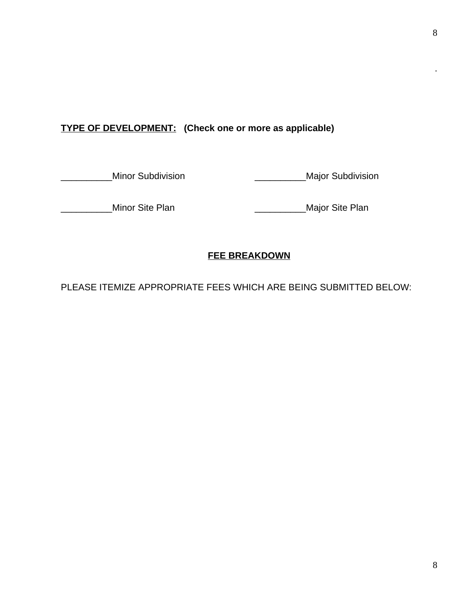## **TYPE OF DEVELOPMENT: (Check one or more as applicable)**

\_\_Minor Subdivision \_\_\_\_\_\_\_\_\_\_\_\_\_\_\_\_\_\_\_\_\_\_\_\_\_\_Major Subdivision

\_\_\_\_\_Minor Site Plan \_\_\_\_\_\_\_\_\_\_\_\_\_\_\_\_\_\_\_\_\_\_\_\_\_\_\_\_\_\_Major Site Plan

## **FEE BREAKDOWN**

PLEASE ITEMIZE APPROPRIATE FEES WHICH ARE BEING SUBMITTED BELOW:

.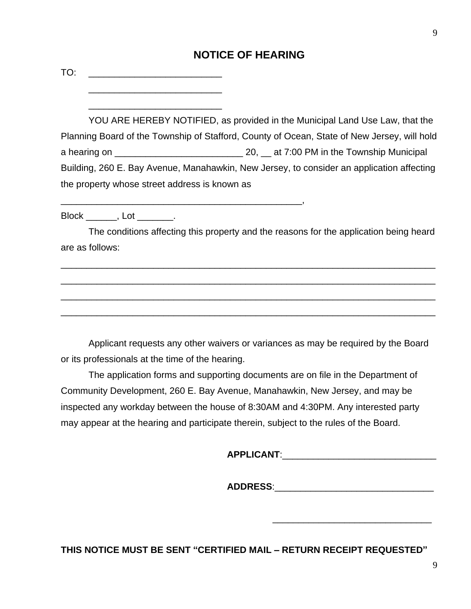## **NOTICE OF HEARING**

 $TO:$ 

\_\_\_\_\_\_\_\_\_\_\_\_\_\_\_\_\_\_\_\_\_\_\_\_\_\_

\_\_\_\_\_\_\_\_\_\_\_\_\_\_\_\_\_\_\_\_\_\_\_\_\_\_

\_\_\_\_\_\_\_\_\_\_\_\_\_\_\_\_\_\_\_\_\_\_\_\_\_\_\_\_\_\_\_\_\_\_\_\_\_\_\_\_\_\_\_\_\_\_\_,

YOU ARE HEREBY NOTIFIED, as provided in the Municipal Land Use Law, that the Planning Board of the Township of Stafford, County of Ocean, State of New Jersey, will hold a hearing on \_\_\_\_\_\_\_\_\_\_\_\_\_\_\_\_\_\_\_\_\_\_\_\_\_ 20, \_\_ at 7:00 PM in the Township Municipal Building, 260 E. Bay Avenue, Manahawkin, New Jersey, to consider an application affecting the property whose street address is known as

Block , Lot .

The conditions affecting this property and the reasons for the application being heard are as follows:

\_\_\_\_\_\_\_\_\_\_\_\_\_\_\_\_\_\_\_\_\_\_\_\_\_\_\_\_\_\_\_\_\_\_\_\_\_\_\_\_\_\_\_\_\_\_\_\_\_\_\_\_\_\_\_\_\_\_\_\_\_\_\_\_\_\_\_\_\_\_\_\_\_

\_\_\_\_\_\_\_\_\_\_\_\_\_\_\_\_\_\_\_\_\_\_\_\_\_\_\_\_\_\_\_\_\_\_\_\_\_\_\_\_\_\_\_\_\_\_\_\_\_\_\_\_\_\_\_\_\_\_\_\_\_\_\_\_\_\_\_\_\_\_\_\_\_

\_\_\_\_\_\_\_\_\_\_\_\_\_\_\_\_\_\_\_\_\_\_\_\_\_\_\_\_\_\_\_\_\_\_\_\_\_\_\_\_\_\_\_\_\_\_\_\_\_\_\_\_\_\_\_\_\_\_\_\_\_\_\_\_\_\_\_\_\_\_\_\_\_

\_\_\_\_\_\_\_\_\_\_\_\_\_\_\_\_\_\_\_\_\_\_\_\_\_\_\_\_\_\_\_\_\_\_\_\_\_\_\_\_\_\_\_\_\_\_\_\_\_\_\_\_\_\_\_\_\_\_\_\_\_\_\_\_\_\_\_\_\_\_\_\_\_

Applicant requests any other waivers or variances as may be required by the Board or its professionals at the time of the hearing.

The application forms and supporting documents are on file in the Department of Community Development, 260 E. Bay Avenue, Manahawkin, New Jersey, and may be inspected any workday between the house of 8:30AM and 4:30PM. Any interested party may appear at the hearing and participate therein, subject to the rules of the Board.

 $\mathsf{APPLICANT:}\qquad \qquad \blacksquare$ 

\_\_\_\_\_\_\_\_\_\_\_\_\_\_\_\_\_\_\_\_\_\_\_\_\_\_\_\_\_\_\_

 $\mathsf{ADDRESS}\colon$ 

**THIS NOTICE MUST BE SENT "CERTIFIED MAIL – RETURN RECEIPT REQUESTED"**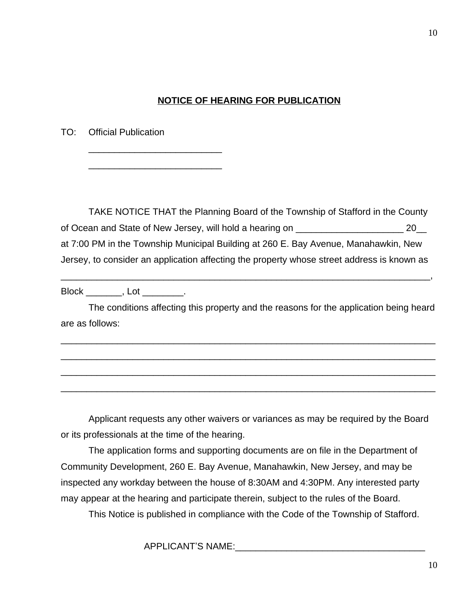### **NOTICE OF HEARING FOR PUBLICATION**

TO: Official Publication

\_\_\_\_\_\_\_\_\_\_\_\_\_\_\_\_\_\_\_\_\_\_\_\_\_\_

\_\_\_\_\_\_\_\_\_\_\_\_\_\_\_\_\_\_\_\_\_\_\_\_\_\_

TAKE NOTICE THAT the Planning Board of the Township of Stafford in the County of Ocean and State of New Jersey, will hold a hearing on \_\_\_\_\_\_\_\_\_\_\_\_\_\_\_\_\_\_\_\_\_ 20\_\_ at 7:00 PM in the Township Municipal Building at 260 E. Bay Avenue, Manahawkin, New Jersey, to consider an application affecting the property whose street address is known as

Block , Lot .

The conditions affecting this property and the reasons for the application being heard are as follows:

\_\_\_\_\_\_\_\_\_\_\_\_\_\_\_\_\_\_\_\_\_\_\_\_\_\_\_\_\_\_\_\_\_\_\_\_\_\_\_\_\_\_\_\_\_\_\_\_\_\_\_\_\_\_\_\_\_\_\_\_\_\_\_\_\_\_\_\_\_\_\_\_\_

\_\_\_\_\_\_\_\_\_\_\_\_\_\_\_\_\_\_\_\_\_\_\_\_\_\_\_\_\_\_\_\_\_\_\_\_\_\_\_\_\_\_\_\_\_\_\_\_\_\_\_\_\_\_\_\_\_\_\_\_\_\_\_\_\_\_\_\_\_\_\_\_\_

\_\_\_\_\_\_\_\_\_\_\_\_\_\_\_\_\_\_\_\_\_\_\_\_\_\_\_\_\_\_\_\_\_\_\_\_\_\_\_\_\_\_\_\_\_\_\_\_\_\_\_\_\_\_\_\_\_\_\_\_\_\_\_\_\_\_\_\_\_\_\_\_\_

\_\_\_\_\_\_\_\_\_\_\_\_\_\_\_\_\_\_\_\_\_\_\_\_\_\_\_\_\_\_\_\_\_\_\_\_\_\_\_\_\_\_\_\_\_\_\_\_\_\_\_\_\_\_\_\_\_\_\_\_\_\_\_\_\_\_\_\_\_\_\_\_\_

\_\_\_\_\_\_\_\_\_\_\_\_\_\_\_\_\_\_\_\_\_\_\_\_\_\_\_\_\_\_\_\_\_\_\_\_\_\_\_\_\_\_\_\_\_\_\_\_\_\_\_\_\_\_\_\_\_\_\_\_\_\_\_\_\_\_\_\_\_\_\_\_,

Applicant requests any other waivers or variances as may be required by the Board or its professionals at the time of the hearing.

The application forms and supporting documents are on file in the Department of Community Development, 260 E. Bay Avenue, Manahawkin, New Jersey, and may be inspected any workday between the house of 8:30AM and 4:30PM. Any interested party may appear at the hearing and participate therein, subject to the rules of the Board.

This Notice is published in compliance with the Code of the Township of Stafford.

APPLICANT'S NAME:\_\_\_\_\_\_\_\_\_\_\_\_\_\_\_\_\_\_\_\_\_\_\_\_\_\_\_\_\_\_\_\_\_\_\_\_\_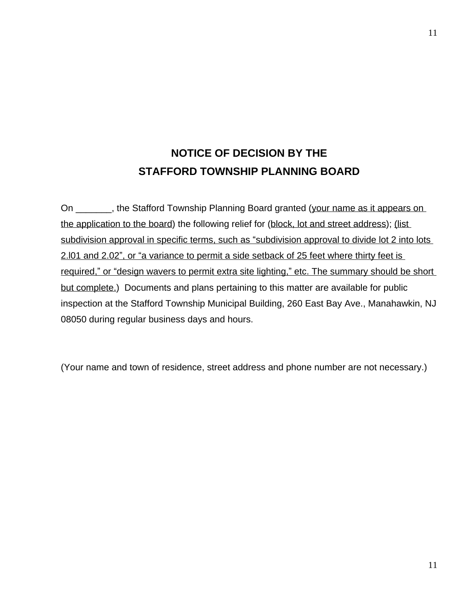# **NOTICE OF DECISION BY THE STAFFORD TOWNSHIP PLANNING BOARD**

On \_\_\_\_\_\_, the Stafford Township Planning Board granted (your name as it appears on the application to the board) the following relief for (block, lot and street address); (list subdivision approval in specific terms, such as "subdivision approval to divide lot 2 into lots 2.l01 and 2.02", or "a variance to permit a side setback of 25 feet where thirty feet is required," or "design wavers to permit extra site lighting," etc. The summary should be short but complete.) Documents and plans pertaining to this matter are available for public inspection at the Stafford Township Municipal Building, 260 East Bay Ave., Manahawkin, NJ 08050 during regular business days and hours.

(Your name and town of residence, street address and phone number are not necessary.)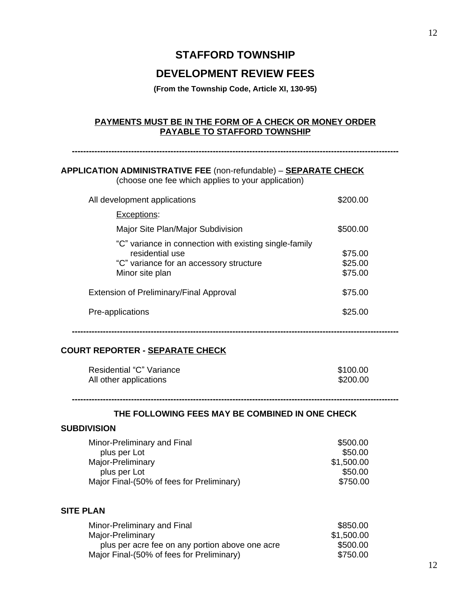## **STAFFORD TOWNSHIP**

## **DEVELOPMENT REVIEW FEES**

**(From the Township Code, Article XI, 130-95)**

#### **PAYMENTS MUST BE IN THE FORM OF A CHECK OR MONEY ORDER PAYABLE TO STAFFORD TOWNSHIP**

**--------------------------------------------------------------------------------------------------------------------**

## **APPLICATION ADMINISTRATIVE FEE** (non-refundable) – **SEPARATE CHECK**

(choose one fee which applies to your application)

| All development applications                                                                                                            | \$200.00                      |
|-----------------------------------------------------------------------------------------------------------------------------------------|-------------------------------|
| Exceptions:                                                                                                                             |                               |
| Major Site Plan/Major Subdivision                                                                                                       | \$500.00                      |
| "C" variance in connection with existing single-family<br>residential use<br>"C" variance for an accessory structure<br>Minor site plan | \$75.00<br>\$25.00<br>\$75.00 |
| Extension of Preliminary/Final Approval                                                                                                 | \$75.00                       |
| Pre-applications                                                                                                                        | \$25.00                       |

#### **COURT REPORTER - SEPARATE CHECK**

| Residential "C" Variance | \$100.00 |
|--------------------------|----------|
| All other applications   | \$200.00 |

# **--------------------------------------------------------------------------------------------------------------------**

### **THE FOLLOWING FEES MAY BE COMBINED IN ONE CHECK**

**--------------------------------------------------------------------------------------------------------------------**

#### **SUBDIVISION**

| Minor-Preliminary and Final               | \$500.00   |
|-------------------------------------------|------------|
| plus per Lot                              | \$50.00    |
| Major-Preliminary                         | \$1,500.00 |
| plus per Lot                              | \$50.00    |
| Major Final-(50% of fees for Preliminary) | \$750.00   |

#### **SITE PLAN**

| Minor-Preliminary and Final                     | \$850.00   |
|-------------------------------------------------|------------|
| Major-Preliminary                               | \$1,500.00 |
| plus per acre fee on any portion above one acre | \$500.00   |
| Major Final-(50% of fees for Preliminary)       | \$750.00   |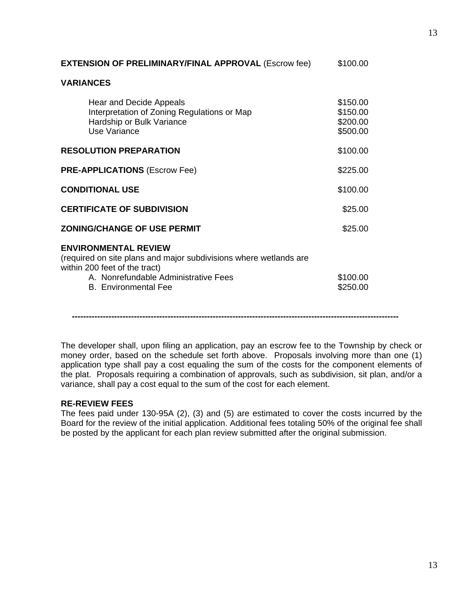| \$100.00                                     |
|----------------------------------------------|
|                                              |
| \$150.00<br>\$150.00<br>\$200.00<br>\$500.00 |
| \$100.00                                     |
| \$225.00                                     |
| \$100.00                                     |
| \$25.00                                      |
| \$25.00                                      |
| \$100.00<br>\$250.00                         |
|                                              |

The developer shall, upon filing an application, pay an escrow fee to the Township by check or money order, based on the schedule set forth above. Proposals involving more than one (1) application type shall pay a cost equaling the sum of the costs for the component elements of the plat. Proposals requiring a combination of approvals, such as subdivision, sit plan, and/or a variance, shall pay a cost equal to the sum of the cost for each element.

**--------------------------------------------------------------------------------------------------------------------**

#### **RE-REVIEW FEES**

The fees paid under 130-95A (2), (3) and (5) are estimated to cover the costs incurred by the Board for the review of the initial application. Additional fees totaling 50% of the original fee shall be posted by the applicant for each plan review submitted after the original submission.